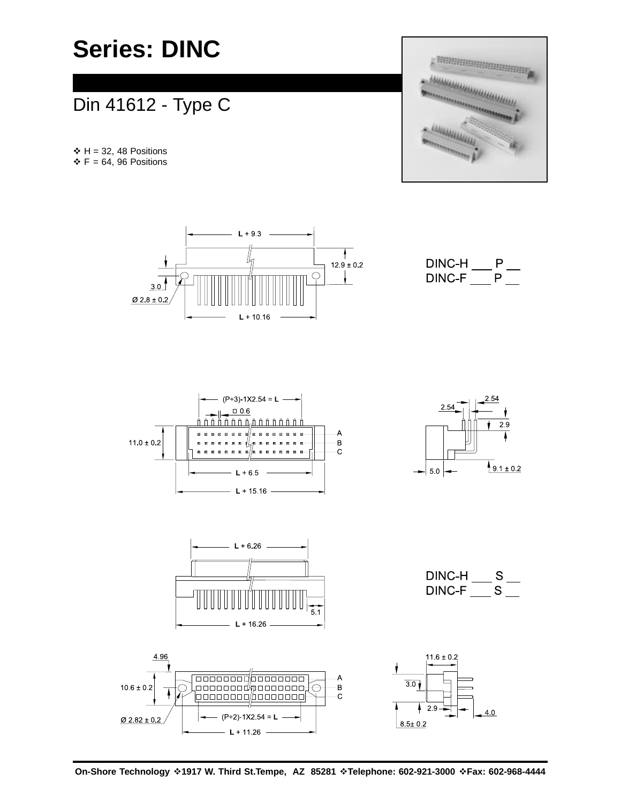# **Series: DINC**

## Din 41612 - Type C

 $\div H = 32, 48$  Positions  $\div$  F = 64, 96 Positions











DINC-H  $\_$  S  $\_$ DINC-F  $\_$  S  $\_$